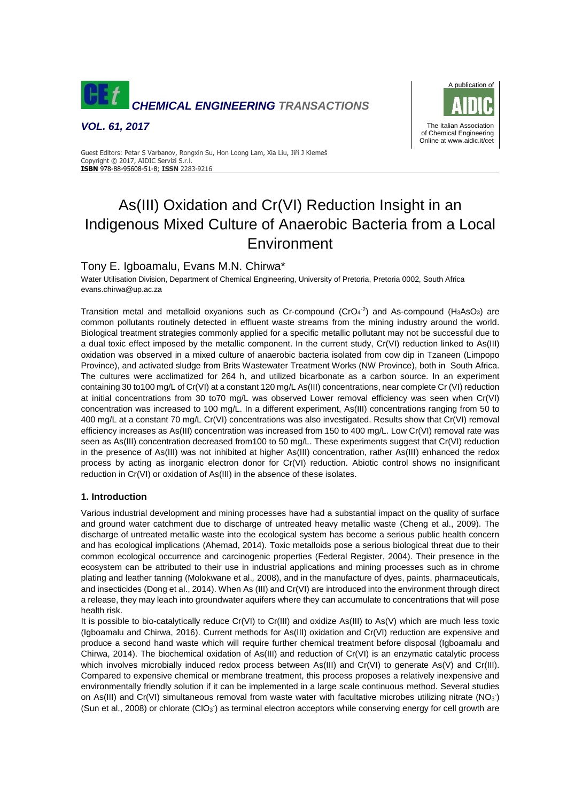

*VOL. 61, 2017*



Guest Editors: Petar S Varbanov, Rongxin Su, Hon Loong Lam, Xia Liu, Jiří J Klemeš Copyright © 2017, AIDIC Servizi S.r.l. **ISBN** 978-88-95608-51-8; **ISSN** 2283-9216

# As(III) Oxidation and Cr(VI) Reduction Insight in an Indigenous Mixed Culture of Anaerobic Bacteria from a Local Environment

# Tony E. Igboamalu, Evans M.N. Chirwa\*

Water Utilisation Division, Department of Chemical Engineering, University of Pretoria, Pretoria 0002, South Africa evans.chirwa@up.ac.za

Transition metal and metalloid oxyanions such as Cr-compound (CrO $4^2$ ) and As-compound (H<sub>3</sub>AsO<sub>3</sub>) are common pollutants routinely detected in effluent waste streams from the mining industry around the world. Biological treatment strategies commonly applied for a specific metallic pollutant may not be successful due to a dual toxic effect imposed by the metallic component. In the current study, Cr(VI) reduction linked to As(III) oxidation was observed in a mixed culture of anaerobic bacteria isolated from cow dip in Tzaneen (Limpopo Province), and activated sludge from Brits Wastewater Treatment Works (NW Province), both in South Africa. The cultures were acclimatized for 264 h, and utilized bicarbonate as a carbon source. In an experiment containing 30 to100 mg/L of Cr(VI) at a constant 120 mg/L As(III) concentrations, near complete Cr (VI) reduction at initial concentrations from 30 to70 mg/L was observed Lower removal efficiency was seen when Cr(VI) concentration was increased to 100 mg/L. In a different experiment, As(III) concentrations ranging from 50 to 400 mg/L at a constant 70 mg/L Cr(VI) concentrations was also investigated. Results show that Cr(VI) removal efficiency increases as As(III) concentration was increased from 150 to 400 mg/L. Low Cr(VI) removal rate was seen as As(III) concentration decreased from100 to 50 mg/L. These experiments suggest that Cr(VI) reduction in the presence of As(III) was not inhibited at higher As(III) concentration, rather As(III) enhanced the redox process by acting as inorganic electron donor for Cr(VI) reduction. Abiotic control shows no insignificant reduction in Cr(VI) or oxidation of As(III) in the absence of these isolates.

# **1. Introduction**

Various industrial development and mining processes have had a substantial impact on the quality of surface and ground water catchment due to discharge of untreated heavy metallic waste (Cheng et al., 2009). The discharge of untreated metallic waste into the ecological system has become a serious public health concern and has ecological implications (Ahemad, 2014). Toxic metalloids pose a serious biological threat due to their common ecological occurrence and carcinogenic properties (Federal Register, 2004). Their presence in the ecosystem can be attributed to their use in industrial applications and mining processes such as in chrome plating and leather tanning (Molokwane et al.*,* 2008), and in the manufacture of dyes, paints, pharmaceuticals, and insecticides (Dong et al., 2014). When As (III) and Cr(VI) are introduced into the environment through direct a release, they may leach into groundwater aquifers where they can accumulate to concentrations that will pose health risk.

It is possible to bio-catalytically reduce Cr(VI) to Cr(III) and oxidize As(III) to As(V) which are much less toxic (Igboamalu and Chirwa, 2016). Current methods for As(III) oxidation and Cr(VI) reduction are expensive and produce a second hand waste which will require further chemical treatment before disposal (Igboamalu and Chirwa, 2014). The biochemical oxidation of As(III) and reduction of Cr(VI) is an enzymatic catalytic process which involves microbially induced redox process between As(III) and Cr(VI) to generate As(V) and Cr(III). Compared to expensive chemical or membrane treatment, this process proposes a relatively inexpensive and environmentally friendly solution if it can be implemented in a large scale continuous method. Several studies on As(III) and Cr(VI) simultaneous removal from waste water with facultative microbes utilizing nitrate  $(NO_3^-)$ (Sun et al., 2008) or chlorate (ClO<sub>3</sub><sup>\*</sup>) as terminal electron acceptors while conserving energy for cell growth are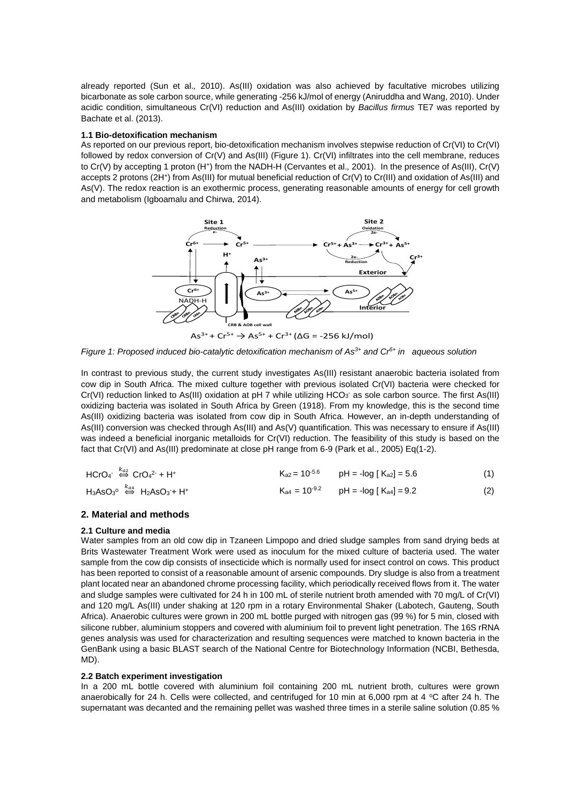already reported (Sun et al.*,* 2010). As(III) oxidation was also achieved by facultative microbes utilizing bicarbonate as sole carbon source, while generating -256 kJ/mol of energy (Aniruddha and Wang, 2010). Under acidic condition, simultaneous Cr(VI) reduction and As(III) oxidation by *Bacillus firmus* TE7 was reported by Bachate et al. (2013).

#### **1.1 Bio-detoxification mechanism**

As reported on our previous report, bio-detoxification mechanism involves stepwise reduction of Cr(VI) to Cr(VI) followed by redox conversion of Cr(V) and As(III) (Figure 1). Cr(VI) infiltrates into the cell membrane, reduces to Cr(V) by accepting 1 proton (H<sup>+</sup>) from the NADH-H (Cervantes et al., 2001). In the presence of As(III), Cr(V) accepts 2 protons (2H<sup>+</sup>) from As(III) for mutual beneficial reduction of Cr(V) to Cr(III) and oxidation of As(III) and As(V). The redox reaction is an exothermic process, generating reasonable amounts of energy for cell growth and metabolism (Igboamalu and Chirwa, 2014).



*Figure 1: Proposed induced bio-catalytic detoxification mechanism of As3+ and Cr6+ in aqueous solution*

In contrast to previous study, the current study investigates As(III) resistant anaerobic bacteria isolated from cow dip in South Africa. The mixed culture together with previous isolated Cr(VI) bacteria were checked for Cr(VI) reduction linked to As(III) oxidation at pH 7 while utilizing HCO<sub>3</sub> as sole carbon source. The first As(III) oxidizing bacteria was isolated in South Africa by Green (1918). From my knowledge, this is the second time As(III) oxidizing bacteria was isolated from cow dip in South Africa. However, an in-depth understanding of As(III) conversion was checked through As(III) and As(V) quantification. This was necessary to ensure if As(III) was indeed a beneficial inorganic metalloids for Cr(VI) reduction. The feasibility of this study is based on the fact that Cr(VI) and As(III) predominate at close pH range from 6-9 (Park et al., 2005) Eq(1-2).

| $HCrO4$ <sup>- <math>\stackrel{k_{a2}}{\Leftrightarrow}</math> CrO<sub>4</sub><sup>2-</sup> + H<sup>+</sup></sup> | $K_{a2}$ = 10 <sup>-5.6</sup> pH = -log [ $K_{a2}$ ] = 5.6 | (1) |
|-------------------------------------------------------------------------------------------------------------------|------------------------------------------------------------|-----|
| $H_3AsO_3^o \stackrel{k_{a4}}{\Leftrightarrow} H_2AsO_3 + H^+$                                                    | $K_{a4} = 10^{-9.2}$ pH = -log [ $K_{a4}$ ] = 9.2          | (2) |

#### **2. Material and methods**

#### **2.1 Culture and media**

Water samples from an old cow dip in Tzaneen Limpopo and dried sludge samples from sand drying beds at Brits Wastewater Treatment Work were used as inoculum for the mixed culture of bacteria used. The water sample from the cow dip consists of insecticide which is normally used for insect control on cows. This product has been reported to consist of a reasonable amount of arsenic compounds. Dry sludge is also from a treatment plant located near an abandoned chrome processing facility, which periodically received flows from it. The water and sludge samples were cultivated for 24 h in 100 mL of sterile nutrient broth amended with 70 mg/L of Cr(VI) and 120 mg/L As(III) under shaking at 120 rpm in a rotary Environmental Shaker (Labotech, Gauteng, South Africa). Anaerobic cultures were grown in 200 mL bottle purged with nitrogen gas (99 %) for 5 min, closed with silicone rubber, aluminium stoppers and covered with aluminium foil to prevent light penetration. The 16S rRNA genes analysis was used for characterization and resulting sequences were matched to known bacteria in the GenBank using a basic BLAST search of the National Centre for Biotechnology Information (NCBI, Bethesda, MD).

#### **2.2 Batch experiment investigation**

In a 200 mL bottle covered with aluminium foil containing 200 mL nutrient broth, cultures were grown anaerobically for 24 h. Cells were collected, and centrifuged for 10 min at 6,000 rpm at 4  $\degree$ C after 24 h. The supernatant was decanted and the remaining pellet was washed three times in a sterile saline solution (0.85 %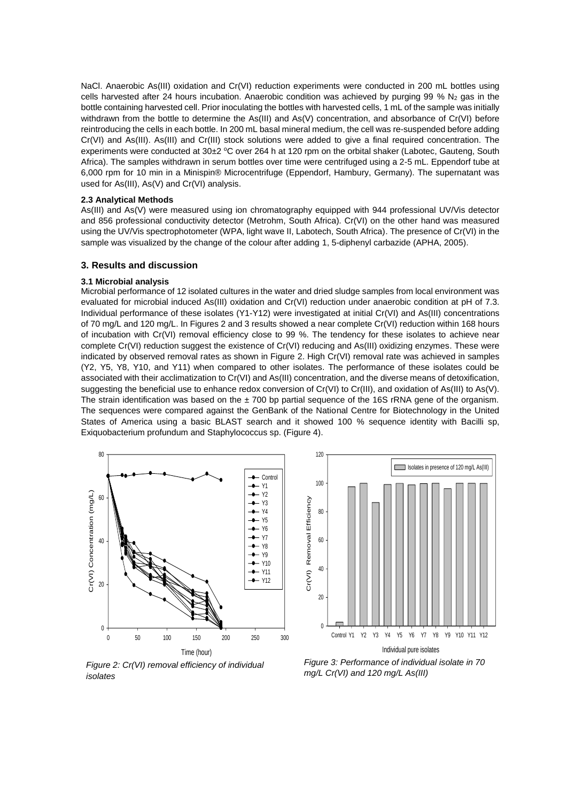NaCl. Anaerobic As(III) oxidation and Cr(VI) reduction experiments were conducted in 200 mL bottles using cells harvested after 24 hours incubation. Anaerobic condition was achieved by purging 99 %  $N_2$  gas in the bottle containing harvested cell. Prior inoculating the bottles with harvested cells, 1 mL of the sample was initially withdrawn from the bottle to determine the As(III) and As(V) concentration, and absorbance of Cr(VI) before reintroducing the cells in each bottle. In 200 mL basal mineral medium, the cell was re-suspended before adding Cr(VI) and As(III). As(III) and Cr(III) stock solutions were added to give a final required concentration. The experiments were conducted at 30±2 °C over 264 h at 120 rpm on the orbital shaker (Labotec, Gauteng, South Africa). The samples withdrawn in serum bottles over time were centrifuged using a 2-5 mL. Eppendorf tube at 6,000 rpm for 10 min in a Minispin® Microcentrifuge (Eppendorf, Hambury, Germany). The supernatant was used for As(III), As(V) and Cr(VI) analysis.

#### **2.3 Analytical Methods**

As(III) and As(V) were measured using ion chromatography equipped with 944 professional UV/Vis detector and 856 professional conductivity detector (Metrohm, South Africa). Cr(VI) on the other hand was measured using the UV/Vis spectrophotometer (WPA, light wave II, Labotech, South Africa). The presence of Cr(VI) in the sample was visualized by the change of the colour after adding 1, 5-diphenyl carbazide (APHA, 2005).

# **3. Results and discussion**

#### **3.1 Microbial analysis**

Microbial performance of 12 isolated cultures in the water and dried sludge samples from local environment was evaluated for microbial induced As(III) oxidation and Cr(VI) reduction under anaerobic condition at pH of 7.3. Individual performance of these isolates (Y1-Y12) were investigated at initial Cr(VI) and As(III) concentrations of 70 mg/L and 120 mg/L. In Figures 2 and 3 results showed a near complete Cr(VI) reduction within 168 hours of incubation with Cr(VI) removal efficiency close to 99 %. The tendency for these isolates to achieve near complete Cr(VI) reduction suggest the existence of Cr(VI) reducing and As(III) oxidizing enzymes. These were indicated by observed removal rates as shown in Figure 2. High Cr(VI) removal rate was achieved in samples (Y2, Y5, Y8, Y10, and Y11) when compared to other isolates. The performance of these isolates could be associated with their acclimatization to Cr(VI) and As(III) concentration, and the diverse means of detoxification, suggesting the beneficial use to enhance redox conversion of Cr(VI) to Cr(III), and oxidation of As(III) to As(V). The strain identification was based on the  $\pm$  700 bp partial sequence of the 16S rRNA gene of the organism. The sequences were compared against the GenBank of the National Centre for Biotechnology in the United States of America using a basic BLAST search and it showed 100 % sequence identity with Bacilli sp, Exiquobacterium profundum and Staphylococcus sp. (Figure 4).

Cr(VI) Removal Efficiency

Cr(VI) Removal Efficiency





*Figure 2: Cr(VI) removal efficiency of individual isolates*

*Figure 3: Performance of individual isolate in 70 mg/L Cr(VI) and 120 mg/L As(III)*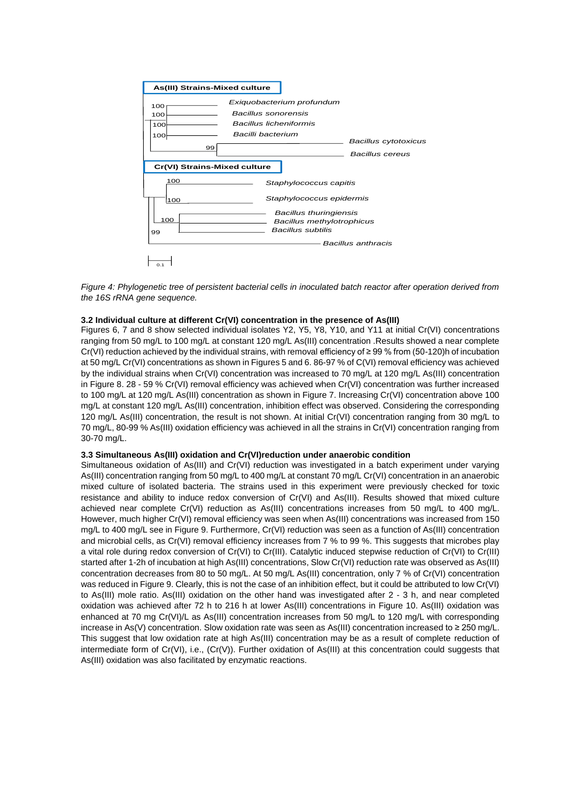

*Figure 4: Phylogenetic tree of persistent bacterial cells in inoculated batch reactor after operation derived from the 16S rRNA gene sequence.* 

## **3.2 Individual culture at different Cr(VI) concentration in the presence of As(III)**

Figures 6, 7 and 8 show selected individual isolates Y2, Y5, Y8, Y10, and Y11 at initial Cr(VI) concentrations ranging from 50 mg/L to 100 mg/L at constant 120 mg/L As(III) concentration .Results showed a near complete Cr(VI) reduction achieved by the individual strains, with removal efficiency of ≥ 99 % from (50-120)h of incubation at 50 mg/L Cr(VI) concentrations as shown in Figures 5 and 6. 86-97 % of C(VI) removal efficiency was achieved by the individual strains when Cr(VI) concentration was increased to 70 mg/L at 120 mg/L As(III) concentration in Figure 8. 28 - 59 % Cr(VI) removal efficiency was achieved when Cr(VI) concentration was further increased to 100 mg/L at 120 mg/L As(III) concentration as shown in Figure 7. Increasing Cr(VI) concentration above 100 mg/L at constant 120 mg/L As(III) concentration, inhibition effect was observed. Considering the corresponding 120 mg/L As(III) concentration, the result is not shown. At initial Cr(VI) concentration ranging from 30 mg/L to 70 mg/L, 80-99 % As(III) oxidation efficiency was achieved in all the strains in Cr(VI) concentration ranging from 30-70 mg/L.

## **3.3 Simultaneous As(III) oxidation and Cr(VI)reduction under anaerobic condition**

Simultaneous oxidation of As(III) and Cr(VI) reduction was investigated in a batch experiment under varying As(III) concentration ranging from 50 mg/L to 400 mg/L at constant 70 mg/L Cr(VI) concentration in an anaerobic mixed culture of isolated bacteria. The strains used in this experiment were previously checked for toxic resistance and ability to induce redox conversion of Cr(VI) and As(III). Results showed that mixed culture achieved near complete Cr(VI) reduction as As(III) concentrations increases from 50 mg/L to 400 mg/L. However, much higher Cr(VI) removal efficiency was seen when As(III) concentrations was increased from 150 mg/L to 400 mg/L see in Figure 9. Furthermore, Cr(VI) reduction was seen as a function of As(III) concentration and microbial cells, as Cr(VI) removal efficiency increases from 7 % to 99 %. This suggests that microbes play a vital role during redox conversion of Cr(VI) to Cr(III). Catalytic induced stepwise reduction of Cr(VI) to Cr(III) started after 1-2h of incubation at high As(III) concentrations, Slow Cr(VI) reduction rate was observed as As(III) concentration decreases from 80 to 50 mg/L. At 50 mg/L As(III) concentration, only 7 % of Cr(VI) concentration was reduced in Figure 9. Clearly, this is not the case of an inhibition effect, but it could be attributed to low Cr(VI) to As(III) mole ratio. As(III) oxidation on the other hand was investigated after 2 - 3 h, and near completed oxidation was achieved after 72 h to 216 h at lower As(III) concentrations in Figure 10. As(III) oxidation was enhanced at 70 mg Cr(VI)/L as As(III) concentration increases from 50 mg/L to 120 mg/L with corresponding increase in As(V) concentration. Slow oxidation rate was seen as As(III) concentration increased to ≥ 250 mg/L. This suggest that low oxidation rate at high As(III) concentration may be as a result of complete reduction of intermediate form of  $Cr(V)$ , i.e.,  $(Cr(V))$ . Further oxidation of As(III) at this concentration could suggests that As(III) oxidation was also facilitated by enzymatic reactions.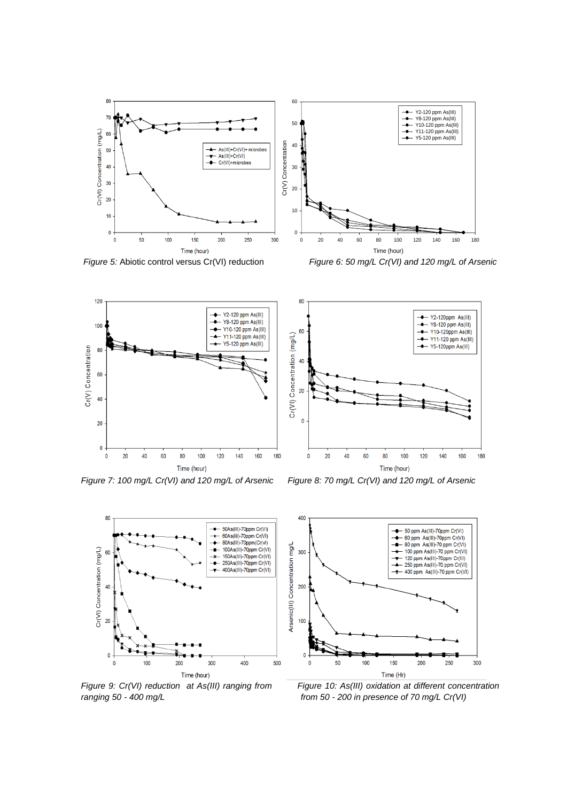

*Figure 5:* Abiotic control versus Cr(VI) reduction *Figure 6: 50 mg/L Cr(VI) and 120 mg/L of Arsenic* 



*Figure 7: 100 mg/L Cr(VI) and 120 mg/L of Arsenic Figure 8: 70 mg/L Cr(VI) and 120 mg/L of Arsenic* 





*Figure 9: Cr(VI) reduction at As(III) ranging from Figure 10: As(III) oxidation at different concentration ranging 50 - 400 mg/L from 50 - 200 in presence of 70 mg/L Cr(VI)*